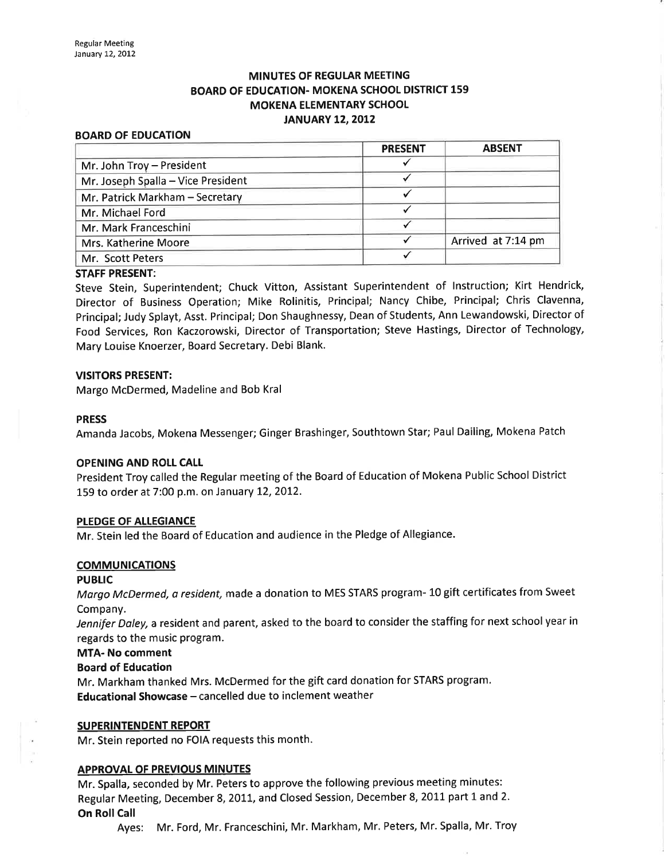# MINUTES OF REGULAR MEETING BOARD OF EDUCATION. MOKENA SCHOOL DISTRICT 159 MOKENA ELEMENTARY SCHOOL **JANUARY 12, 2012**

#### BOARD OF EDUCATION

|                                    | <b>PRESENT</b> | <b>ABSENT</b>      |
|------------------------------------|----------------|--------------------|
| Mr. John Troy - President          |                |                    |
| Mr. Joseph Spalla - Vice President |                |                    |
| Mr. Patrick Markham - Secretary    |                |                    |
| Mr. Michael Ford                   |                |                    |
| Mr. Mark Franceschini              |                |                    |
| Mrs. Katherine Moore               |                | Arrived at 7:14 pm |
| Mr. Scott Peters                   |                |                    |

#### STAFF PRESENT:

Steve Stein, Superintendent; Chuck Vitton, Assistant Superintendent of lnstruction; Kirt Hendrick, Director of Business Operation; Mike Rolinitis, Principal; Nancy Chibe, Principal; Chris Clavenna, Principal; Judy Splayt, Asst. Principal; Don Shaughnessy, Dean of Students, Ann Lewandowski, Director of Food Services, Ron Kaczorowski, Director of Transportation; Steve Hastings, Director of Technology, Mary Louise Knoerzer, Board Secretary. Debi Blank.

#### VISITORS PRESENT:

Margo McDermed, Madeline and Bob Kral

#### PRESS

Amanda Jacobs, Mokena Messenger; Ginger Brashinger, Southtown Star; Paul Dailing, Mokena Patch

#### OPENING AND ROLL CALI

President Troy called the Regular meeting of the Board of Education of Mokena Public School District 159 to order at 7:00 p.m. on January L2,2Ot2.

#### PLEDGE OF ALLEGIANCE

Mr. Stein led the Board of Education and audience in the Pledge of Allegiance.

#### **COMMUNICATIONS**

#### **PUBLIC**

Margo McDermed, a resident, made a donation to MES STARS program- 10 gift certificates from Sweet Company.

Jennifer Daley, a resident and parent, asked to the board to consider the staffing for next school year in regards to the music program.

#### MTA- No comment

#### Board of Education

Mr. Markham thanked Mrs. McDermed for the gift card donation for STARS program. Educational Showcase - cancelled due to inclement weather

#### SUPERINTENDENT REPORT

Mr. Stein reported no FOIA requests this month.

#### APPROVAL OF PREVIOUS MINUTES

Mr. Spalla, seconded by Mr. Peters to approve the following previous meeting minutes: Regular Meeting, December 8, 2011, and Closed Session, December 8, 2011 part 1 and 2. On Roll Call

Ayes: Mr. Ford, Mr. Franceschini, Mr. Markham, Mr. Peters, Mr. Spalla, Mr. Troy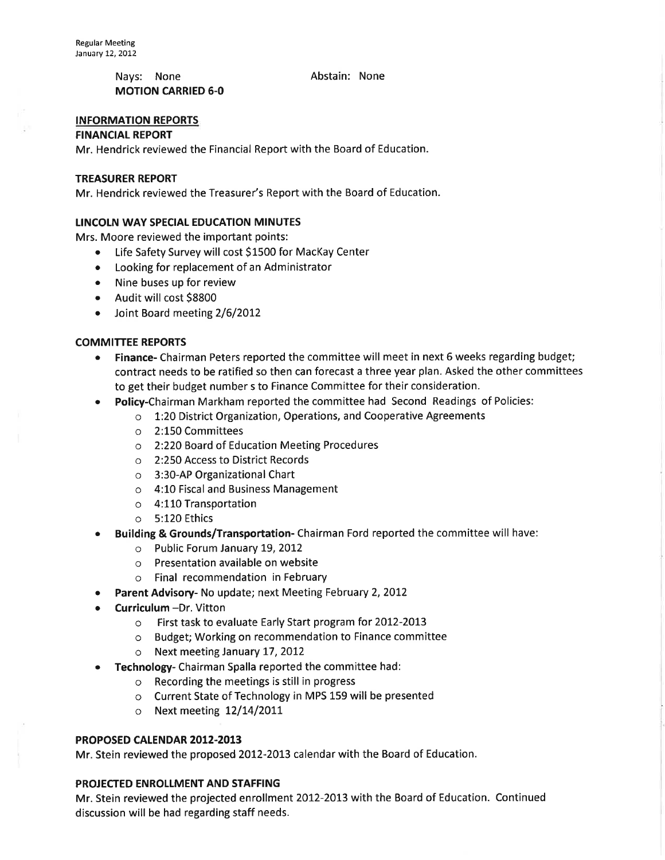Nays: None **Abstain:** None MOTION CARRIED 6-0

## INFORMATION REPORTS

#### **FINANCIAL REPORT**

Mr. Hendrick reviewed the Financial Report with the Board of Education.

## TREASURER REPORT

Mr. Hendrick reviewed the Treasurer's Report with the Board of Education.

## LINCOLN WAY SPECIAL EDUCATION MINUTES

Mrs. Moore reviewed the important points:

- Life Safety Survey will cost \$1500 for MacKay Center
- Looking for replacement of an Administrator
- Nine buses up for review
- o Audit will cost 58800
- Joint Board meeting 2/6/2012

## COMMITTEE REPORTS

- Finance- Chairman Peters reported the committee will meet in next 6 weeks regarding budget; contract needs to be ratified so then can forecast a three year plan. Asked the other committees to get their budget number s to Finance Committee for their consideration.
- Policy-Chairman Markham reported the committee had Second Readings of Policies:
	- $\circ$  1:20 District Organization, Operations, and Cooperative Agreements
	- o 2:L50 Committees
	- o 2:220 Board of Education Meeting Procedures
	- o 2:250 Access to District Records
	- o 3:30-AP Organizational Chart
	- o 4:10 Fiscal and Business Management
	- o 4:110 Transportation
	- o 5:120 Ethics
- Building & Grounds/Transportation-Chairman Ford reported the committee will have:
	- $\circ$  Public Forum January 19, 2012
	- o Presentation available on website
	- o Final recommendation in February
- Parent Advisory- No update; next Meeting February 2, 2012
- Curriculum -Dr. Vitton
	- o First task to evaluate Early Start program for 2OL2-2OL3
	- o Budget; Working on recommendation to Finance committee
	- o Next meeting January 17, 2012
- Technology- Chairman Spalla reported the committee had:
	- o Recording the meetings is still in progress
	- o Current State of Technology in MPS 159 will be presented
	- $\circ$  Next meeting 12/14/2011

## PROPOSED CALENDAR 2012-2013

Mr. Stein reviewed the proposed 2012-2013 calendar with the Board of Education.

## PROJECTED ENROLLMENT AND STAFFING

Mr. Stein reviewed the projected enrollment 2012-2013 with the Board of Education. Continued discussion wíll be had regarding staff needs.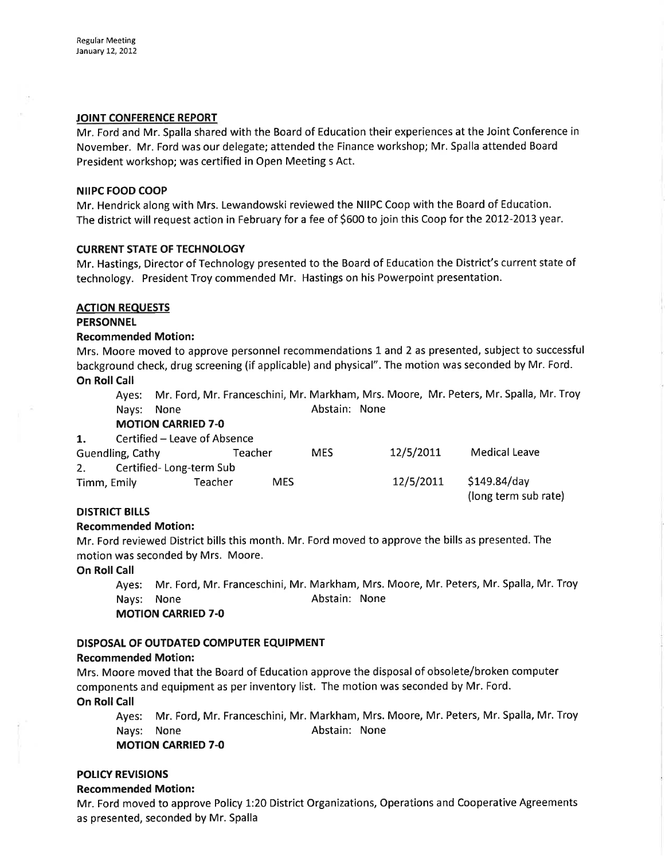## JOINT CONFERENCE REPORT

Mr. Ford and Mr. Spalla shared with the Board of Education their experiences at the Joint Conference in November. Mr. Ford was our delegate; attended the Finance workshop; Mr. Spalla attended Board President workshop; was certified in Open Meeting s Act.

## NIIPC FOOD COOP

Mr. Hendrick along with Mrs. Lewandowski reviewed the NIIPC Coop with the Board of Education. The district will request action in February for a fee of 5600 to join this Coop for the 2OL2-2OL3 year.

## **CURRENT STATE OF TECHNOLOGY**

Mr. Hastings, Director of Technology presented to the Board of Education the District's current state of technology. President Troy commended Mr. Hastings on his Powerpoint presentation.

# ACTION REQUESTS

## **PERSONNEL**

## Recommended Motion:

Mrs. Moore moved to approve personnel recommendations 1 and 2 as presented, subject to successful background check, drug screening (if applicable) and physical". The motion was seconded by Mr. Ford. On Roll Call

Ayes: Mr. Ford, Mr. Franceschini, Mr. Markham, Mrs. Moore, Mr. Peters, Mr. Spalla, Mr. Troy Nays: None **Abstain:** None

MOTION CARRIED 7-O

| 1.                            | Certified – Leave of Absence |         |            |           |                                      |  |  |  |
|-------------------------------|------------------------------|---------|------------|-----------|--------------------------------------|--|--|--|
| Guendling, Cathy              |                              | Teacher | <b>MES</b> | 12/5/2011 | <b>Medical Leave</b>                 |  |  |  |
| Certified-Long-term Sub<br>2. |                              |         |            |           |                                      |  |  |  |
| Timm, Emily                   | Teacher                      | MES.    |            | 12/5/2011 | \$149.84/day<br>(long term sub rate) |  |  |  |

# **DISTRICT BILLS**

# Recommended Motion:

Mr. Ford reviewed District bills this month. Mr. Ford moved to approve the bills as presented. The motion was seconded by Mrs. Moore.

## On Roll Call

Ayes: Mr. Ford, Mr. Franceschini, Mr. Markham, Mrs. Moore, Mr. Peters, Mr. Spalla, Mr. Troy Nays: None **Abstain:** None **MOTION CARRIED 7-0** 

# DISPOSAL OF OUTDATED COMPUTER EQUIPMENT

# Recommended Motion:

Mrs. Moore moved that the Board of Education approve the disposalof obsolete/broken computer components and equipment as per inventory list. The motion was seconded by Mr. Ford. On Roll Call

Ayes: Mr. Ford, Mr. Franceschini, Mr. Markham, Mrs. Moore, Mr. Peters, Mr. Spalla, Mr. Troy Nays: None **Abstain:** None

MOTION CARRIED 7-O

# POLICY REVISIONS

## Recommended Motion:

Mr. Ford moved to approve Policy 1:20 District Organizations, Operations and Cooperative Agreements as presented, seconded by Mr. Spalla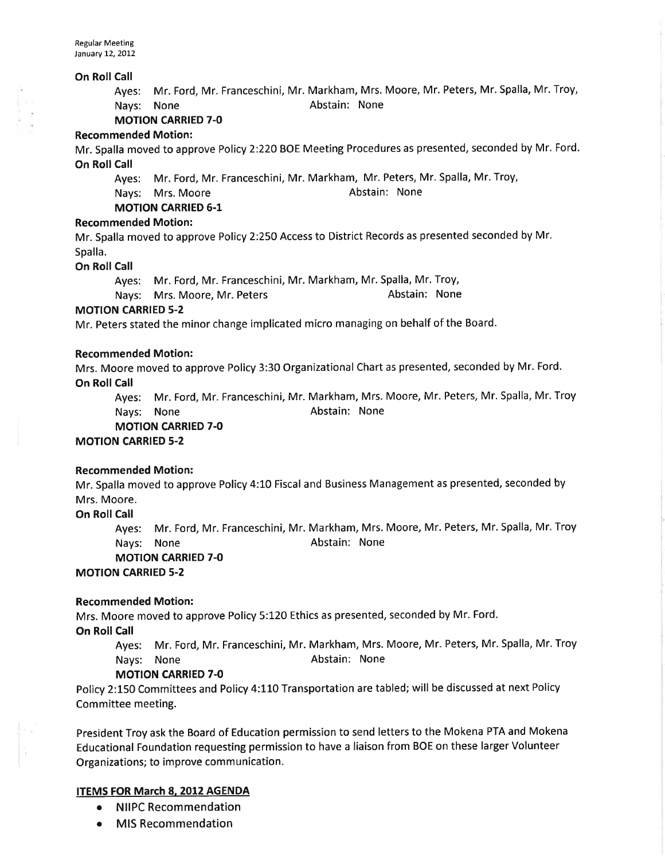#### On Roll Call

Ayes: Mr. Ford, Mr. Franceschini, Mr. Markham, Mrs. Moore, Mr. Peters, Mr. Spalla, Mr. Troy, Nays: None **Abstain:** None

**MOTION CARRIED 7-0** 

#### Recommended Motion:

Mr. Spalla moved to approve Policy 2:220 BOE Meeting Procedures as presented, seconded by Mr. Ford. On Roll Call

Ayes: Mr. Ford, Mr. Franceschini, Mr. Markham, Mr. Peters, Mr. Spalla, Mr. Troy,

Nays: Mrs. Moore **Abstain: None** Abstain: None

MOTION CARRIED 6.1

## Recommended Motion:

Mr. Spalla moved to approve Policy 2:250 Access to District Records as presented seconded by Mr. Spalla.

On Roll Call

Ayes: Mr. Ford, Mr. Franceschini, Mr. Markham, Mr. Spalla, Mr. Troy,

Nays: Mrs. Moore, Mr. Peters Abstain: None

## **MOTION CARRIED 5-2**

Mr. Peters stated the minor change implicated micro managing on behalf of the Board.

#### Recommended Motion:

Mrs. Moore moved to approve Policy 3:30 Organizational Chart as presented, seconded by Mr. Ford. On Roll Call

Ayes: Mr. Ford, Mr. Franceschini, Mr. Markham, Mrs. Moore, Mr. Peters, Mr. Spalla, Mr. Troy Nays: None **Abstain:** None

MOTION CARRIED 7.0

MOTION CARRIED 5-2

## Recommended Motion:

Mr. Spalla moved to approve Policy 4:10 Fiscal and Business Management as presented, seconded by Mrs. Moore.

**On Roll Call** 

Ayes: Mr. Ford, Mr. Franceschini, Mr. Markham, Mrs. Moore, Mr. Peters, Mr. Spalla, Mr. Troy Nays: None **Abstain:** None

#### MOTION CARRIED 7-O

MOTION CARRIED 5-2

#### Recommended Motion:

Mrs. Moore moved to approve Policy 5:120 Ethics as presented, seconded by Mr. Ford.

**On Roll Call** 

Ayes: Mr. Ford, Mr. Franceschini, Mr. Markham, Mrs. Moore, Mr. Peters, Mr. Spalla, Mr. Troy Nays: None **Abstain:** None

## MOTION CARRIED 7-O

Policy 2:150 Committees and Policy 4:110 Transportation are tabled; will be discussed at next Policy Committee meeting.

President Troy ask the Board of Education permission to send letters to the Mokena PTA and Mokena Educational Foundation requesting permission to have a liaison from BOE on these larger Volunteer Organizations; to improve communication.

# ITEMS FOR March 8, 2012 AGENDA

- o NIIPC Recommendation
- **MIS Recommendation**